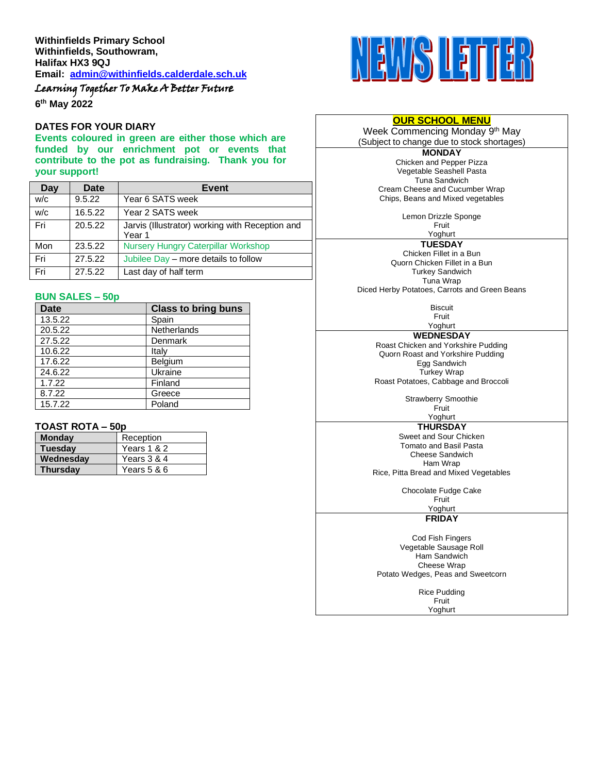Learning Together To Make A Better Future

**6 th May 2022**

### **DATES FOR YOUR DIARY**

**Events coloured in green are either those which are funded by our enrichment pot or events that contribute to the pot as fundraising. Thank you for your support!**

| Day | Date    | <b>Event</b>                                              |  |
|-----|---------|-----------------------------------------------------------|--|
| W/C | 9.5.22  | Year 6 SATS week                                          |  |
| W/C | 16.5.22 | Year 2 SATS week                                          |  |
| Fri | 20.5.22 | Jarvis (Illustrator) working with Reception and<br>Year 1 |  |
| Mon | 23.5.22 | <b>Nursery Hungry Caterpillar Workshop</b>                |  |
| Fri | 27.5.22 | Jubilee Day – more details to follow                      |  |
| Fri | 27.5.22 | Last day of half term                                     |  |

### **BUN SALES – 50p**

| <b>Date</b> | <b>Class to bring buns</b> |
|-------------|----------------------------|
| 13.5.22     | Spain                      |
| 20.5.22     | Netherlands                |
| 27.5.22     | Denmark                    |
| 10.6.22     | Italy                      |
| 17.6.22     | Belgium                    |
| 24.6.22     | Ukraine                    |
| 1.7.22      | Finland                    |
| 8.7.22      | Greece                     |
| 15.7.22     | Poland                     |

# **TOAST ROTA – 50p**

| <b>Monday</b>   | Reception   |
|-----------------|-------------|
| <b>Tuesday</b>  | Years 1 & 2 |
| Wednesday       | Years 3 & 4 |
| <b>Thursdav</b> | Years 5 & 6 |



### **OUR SCHOOL MENU**

Week Commencing Monday 9<sup>th</sup> May (Subject to change due to stock shortages)

> **MONDAY** Chicken and Pepper Pizza Vegetable Seashell Pasta Tuna Sandwich Cream Cheese and Cucumber Wrap Chips, Beans and Mixed vegetables

> > Lemon Drizzle Sponge

Fruit Yoghurt

**TUESDAY** Chicken Fillet in a Bun Quorn Chicken Fillet in a Bun Turkey Sandwich Tuna Wrap

Diced Herby Potatoes, Carrots and Green Beans

**Biscuit** Fruit

Yoghurt **WEDNESDAY** Roast Chicken and Yorkshire Pudding Quorn Roast and Yorkshire Pudding Egg Sandwich Turkey Wrap Roast Potatoes, Cabbage and Broccoli

> Strawberry Smoothie Fruit

Yoghurt **THURSDAY**

Sweet and Sour Chicken Tomato and Basil Pasta Cheese Sandwich Ham Wrap Rice, Pitta Bread and Mixed Vegetables

Chocolate Fudge Cake

Fruit Yoghurt

**FRIDAY**

Cod Fish Fingers Vegetable Sausage Roll Ham Sandwich Cheese Wrap Potato Wedges, Peas and Sweetcorn

> Rice Pudding Fruit

Yoghurt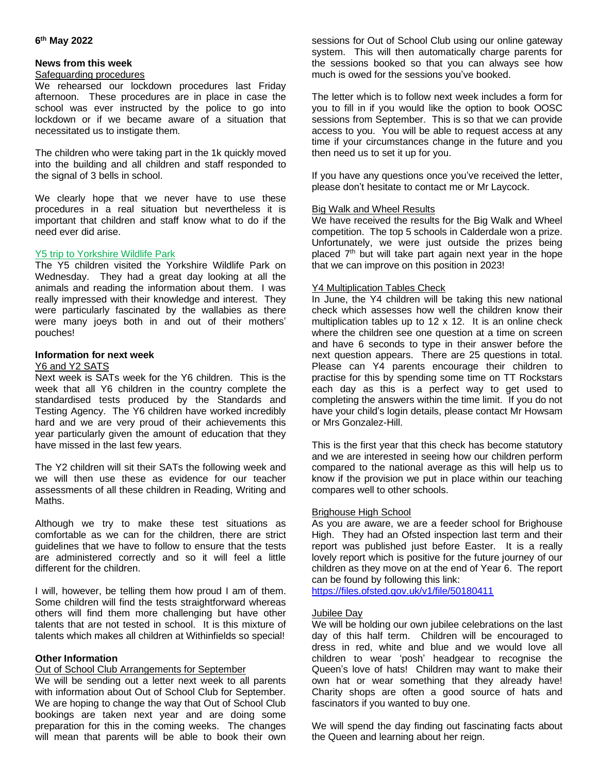## **6 th May 2022**

### **News from this week**

### Safeguarding procedures

We rehearsed our lockdown procedures last Friday afternoon. These procedures are in place in case the school was ever instructed by the police to go into lockdown or if we became aware of a situation that necessitated us to instigate them.

The children who were taking part in the 1k quickly moved into the building and all children and staff responded to the signal of 3 bells in school.

We clearly hope that we never have to use these procedures in a real situation but nevertheless it is important that children and staff know what to do if the need ever did arise.

### Y5 trip to Yorkshire Wildlife Park

The Y5 children visited the Yorkshire Wildlife Park on Wednesday. They had a great day looking at all the animals and reading the information about them. I was really impressed with their knowledge and interest. They were particularly fascinated by the wallabies as there were many joeys both in and out of their mothers' pouches!

# **Information for next week**

### Y6 and Y2 SATS

Next week is SATs week for the Y6 children. This is the week that all Y6 children in the country complete the standardised tests produced by the Standards and Testing Agency. The Y6 children have worked incredibly hard and we are very proud of their achievements this year particularly given the amount of education that they have missed in the last few years.

The Y2 children will sit their SATs the following week and we will then use these as evidence for our teacher assessments of all these children in Reading, Writing and Maths.

Although we try to make these test situations as comfortable as we can for the children, there are strict guidelines that we have to follow to ensure that the tests are administered correctly and so it will feel a little different for the children.

I will, however, be telling them how proud I am of them. Some children will find the tests straightforward whereas others will find them more challenging but have other talents that are not tested in school. It is this mixture of talents which makes all children at Withinfields so special!

## **Other Information**

## Out of School Club Arrangements for September

We will be sending out a letter next week to all parents with information about Out of School Club for September. We are hoping to change the way that Out of School Club bookings are taken next year and are doing some preparation for this in the coming weeks. The changes will mean that parents will be able to book their own sessions for Out of School Club using our online gateway system. This will then automatically charge parents for the sessions booked so that you can always see how much is owed for the sessions you've booked.

The letter which is to follow next week includes a form for you to fill in if you would like the option to book OOSC sessions from September. This is so that we can provide access to you. You will be able to request access at any time if your circumstances change in the future and you then need us to set it up for you.

If you have any questions once you've received the letter, please don't hesitate to contact me or Mr Laycock.

# Big Walk and Wheel Results

We have received the results for the Big Walk and Wheel competition. The top 5 schools in Calderdale won a prize. Unfortunately, we were just outside the prizes being placed  $7<sup>th</sup>$  but will take part again next year in the hope that we can improve on this position in 2023!

### Y4 Multiplication Tables Check

In June, the Y4 children will be taking this new national check which assesses how well the children know their multiplication tables up to 12 x 12. It is an online check where the children see one question at a time on screen and have 6 seconds to type in their answer before the next question appears. There are 25 questions in total. Please can Y4 parents encourage their children to practise for this by spending some time on TT Rockstars each day as this is a perfect way to get used to completing the answers within the time limit. If you do not have your child's login details, please contact Mr Howsam or Mrs Gonzalez-Hill.

This is the first year that this check has become statutory and we are interested in seeing how our children perform compared to the national average as this will help us to know if the provision we put in place within our teaching compares well to other schools.

#### Brighouse High School

As you are aware, we are a feeder school for Brighouse High. They had an Ofsted inspection last term and their report was published just before Easter. It is a really lovely report which is positive for the future journey of our children as they move on at the end of Year 6. The report can be found by following this link:

<https://files.ofsted.gov.uk/v1/file/50180411>

#### Jubilee Day

We will be holding our own jubilee celebrations on the last day of this half term. Children will be encouraged to dress in red, white and blue and we would love all children to wear 'posh' headgear to recognise the Queen's love of hats! Children may want to make their own hat or wear something that they already have! Charity shops are often a good source of hats and fascinators if you wanted to buy one.

We will spend the day finding out fascinating facts about the Queen and learning about her reign.